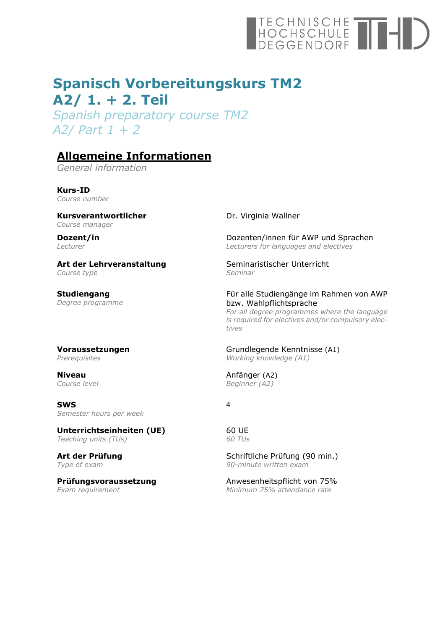# TECHNISCHE<br>HOCHSCHULE THE

## **Spanisch Vorbereitungskurs TM2 A2/ 1. + 2. Teil**

*Spanish preparatory course TM2 A2/ Part 1 + 2* 

## **Allgemeine Informationen**

*General information* 

**Kurs-ID**  *Course number* 

**Kursverantwortlicher**  *Course manager*

**Dozent/in**  *Lecturer* 

**Art der Lehrveranstaltung**  *Course type*

**Studiengang**  *Degree programme* Dr. Virginia Wallner

Dozenten/innen für AWP und Sprachen *Lecturers for languages and electives*

Seminaristischer Unterricht *Seminar* 

Für alle Studiengänge im Rahmen von AWP bzw. Wahlpflichtsprache

*For all degree programmes where the language is required for electives and/or compulsory electives* 

**Voraussetzungen**  *Prerequisites* 

**Niveau**  *Course level*

**SWS**  *Semester hours per week* 

**Unterrichtseinheiten (UE)**  *Teaching units (TUs)* 

**Art der Prüfung**  *Type of exam* 

**Prüfungsvoraussetzung**  *Exam requirement*

Grundlegende Kenntnisse (A1) *Working knowledge (A1)* 

Anfänger (A2) *Beginner (A2)* 

#### 4

60 UE *60 TUs*

Schriftliche Prüfung (90 min.) *90-minute written exam*

Anwesenheitspflicht von 75% *Minimum 75% attendance rate*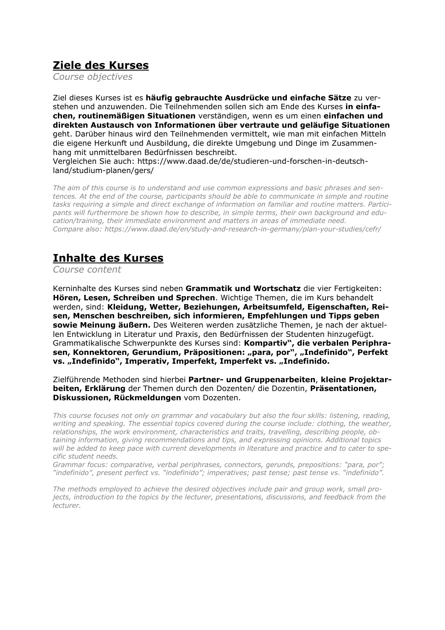## **Ziele des Kurses**

*Course objectives* 

Ziel dieses Kurses ist es **häufig gebrauchte Ausdrücke und einfache Sätze** zu verstehen und anzuwenden. Die Teilnehmenden sollen sich am Ende des Kurses **in einfachen, routinemäßigen Situationen** verständigen, wenn es um einen **einfachen und direkten Austausch von Informationen über vertraute und geläufige Situationen** geht. Darüber hinaus wird den Teilnehmenden vermittelt, wie man mit einfachen Mitteln die eigene Herkunft und Ausbildung, die direkte Umgebung und Dinge im Zusammenhang mit unmittelbaren Bedürfnissen beschreibt. Vergleichen Sie auch: https://www.daad.de/de/studieren-und-forschen-in-deutsch-

land/studium-planen/gers/

*The aim of this course is to understand and use common expressions and basic phrases and sentences. At the end of the course, participants should be able to communicate in simple and routine tasks requiring a simple and direct exchange of information on familiar and routine matters. Participants will furthermore be shown how to describe, in simple terms, their own background and education/training, their immediate environment and matters in areas of immediate need. Compare also: https://www.daad.de/en/study-and-research-in-germany/plan-your-studies/cefr/* 

## **Inhalte des Kurses**

*Course content*

Kerninhalte des Kurses sind neben **Grammatik und Wortschatz** die vier Fertigkeiten: **Hören, Lesen, Schreiben und Sprechen**. Wichtige Themen, die im Kurs behandelt werden, sind: **Kleidung, Wetter, Beziehungen, Arbeitsumfeld, Eigenschaften, Reisen, Menschen beschreiben, sich informieren, Empfehlungen und Tipps geben sowie Meinung äußern.** Des Weiteren werden zusätzliche Themen, je nach der aktuellen Entwicklung in Literatur und Praxis, den Bedürfnissen der Studenten hinzugefügt. Grammatikalische Schwerpunkte des Kurses sind: **Kompartiv", die verbalen Periphrasen, Konnektoren, Gerundium, Präpositionen: "para, por", "Indefinido", Perfekt**  vs. "Indefinido", Imperativ, Imperfekt, Imperfekt vs. "Indefinido.

Zielführende Methoden sind hierbei **Partner- und Gruppenarbeiten**, **kleine Projektarbeiten, Erklärung** der Themen durch den Dozenten/ die Dozentin, **Präsentationen, Diskussionen, Rückmeldungen** vom Dozenten.

*This course focuses not only on grammar and vocabulary but also the four skills: listening, reading, writing and speaking. The essential topics covered during the course include: clothing, the weather, relationships, the work environment, characteristics and traits, travelling, describing people, obtaining information, giving recommendations and tips, and expressing opinions. Additional topics will be added to keep pace with current developments in literature and practice and to cater to specific student needs.* 

*Grammar focus: comparative, verbal periphrases, connectors, gerunds, prepositions: "para, por"; "indefinido", present perfect vs. "indefinido"; imperatives; past tense; past tense vs. "indefinido".* 

*The methods employed to achieve the desired objectives include pair and group work, small projects, introduction to the topics by the lecturer, presentations, discussions, and feedback from the lecturer.*